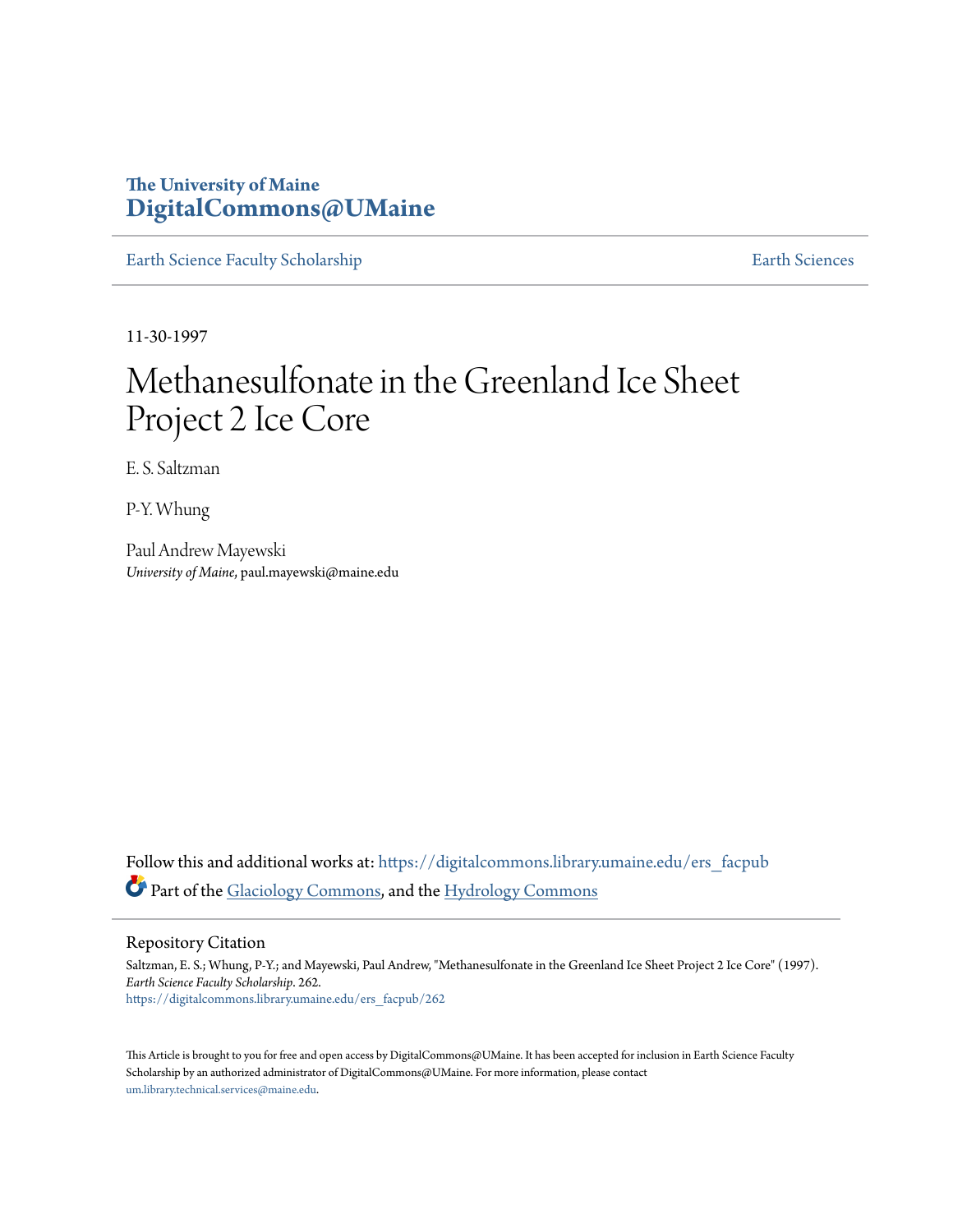# **The University of Maine [DigitalCommons@UMaine](https://digitalcommons.library.umaine.edu?utm_source=digitalcommons.library.umaine.edu%2Fers_facpub%2F262&utm_medium=PDF&utm_campaign=PDFCoverPages)**

[Earth Science Faculty Scholarship](https://digitalcommons.library.umaine.edu/ers_facpub?utm_source=digitalcommons.library.umaine.edu%2Fers_facpub%2F262&utm_medium=PDF&utm_campaign=PDFCoverPages) **[Earth Sciences](https://digitalcommons.library.umaine.edu/ers?utm_source=digitalcommons.library.umaine.edu%2Fers_facpub%2F262&utm_medium=PDF&utm_campaign=PDFCoverPages)** 

11-30-1997

# Methanesulfonate in the Greenland Ice Sheet Project 2 Ice Core

E. S. Saltzman

P-Y. Whung

Paul Andrew Mayewski *University of Maine*, paul.mayewski@maine.edu

Follow this and additional works at: [https://digitalcommons.library.umaine.edu/ers\\_facpub](https://digitalcommons.library.umaine.edu/ers_facpub?utm_source=digitalcommons.library.umaine.edu%2Fers_facpub%2F262&utm_medium=PDF&utm_campaign=PDFCoverPages) Part of the [Glaciology Commons,](http://network.bepress.com/hgg/discipline/159?utm_source=digitalcommons.library.umaine.edu%2Fers_facpub%2F262&utm_medium=PDF&utm_campaign=PDFCoverPages) and the [Hydrology Commons](http://network.bepress.com/hgg/discipline/1054?utm_source=digitalcommons.library.umaine.edu%2Fers_facpub%2F262&utm_medium=PDF&utm_campaign=PDFCoverPages)

Repository Citation

Saltzman, E. S.; Whung, P-Y.; and Mayewski, Paul Andrew, "Methanesulfonate in the Greenland Ice Sheet Project 2 Ice Core" (1997). *Earth Science Faculty Scholarship*. 262. [https://digitalcommons.library.umaine.edu/ers\\_facpub/262](https://digitalcommons.library.umaine.edu/ers_facpub/262?utm_source=digitalcommons.library.umaine.edu%2Fers_facpub%2F262&utm_medium=PDF&utm_campaign=PDFCoverPages)

This Article is brought to you for free and open access by DigitalCommons@UMaine. It has been accepted for inclusion in Earth Science Faculty Scholarship by an authorized administrator of DigitalCommons@UMaine. For more information, please contact [um.library.technical.services@maine.edu](mailto:um.library.technical.services@maine.edu).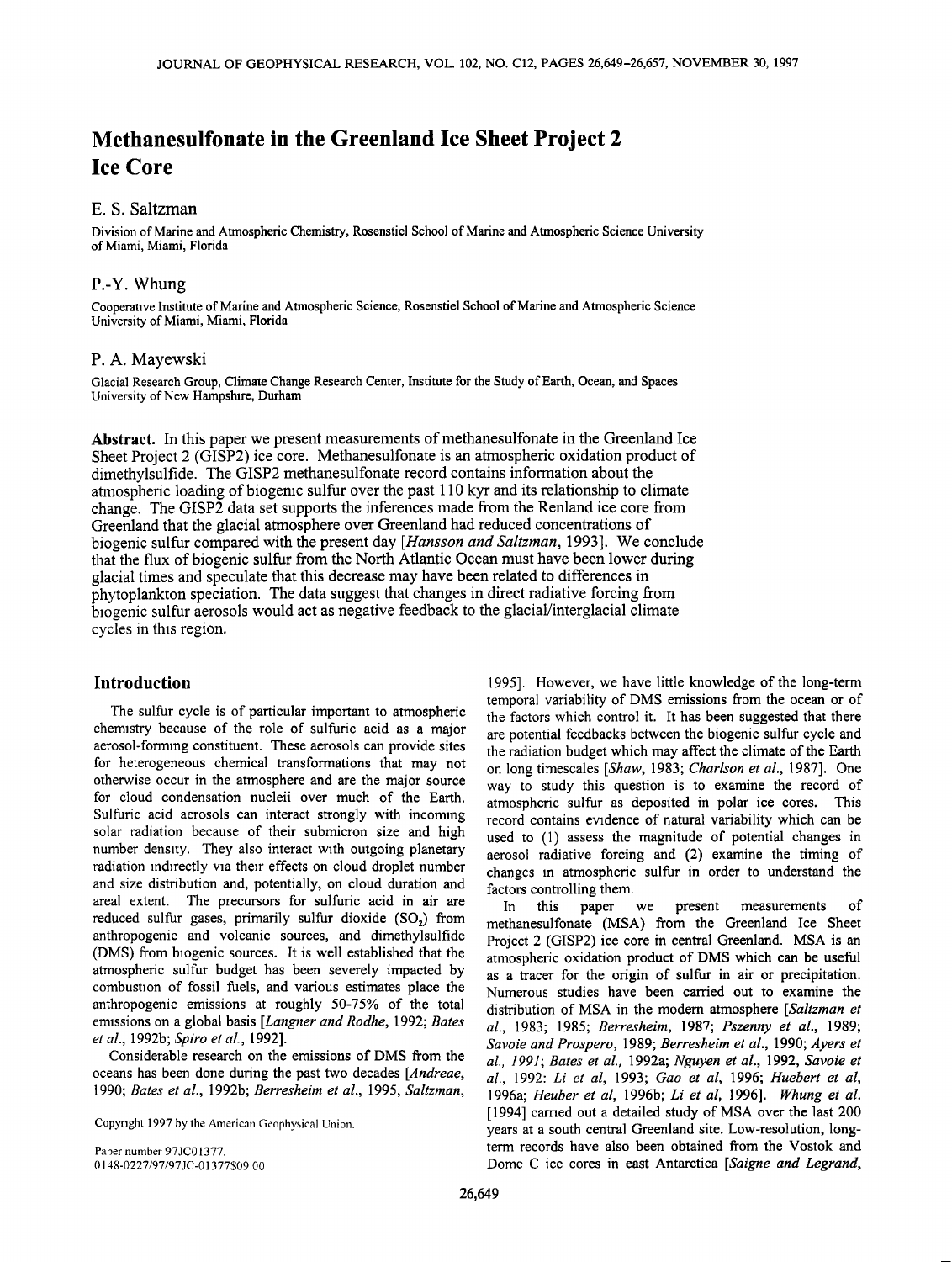# **Methanesulfonate in the Greenland Ice Sheet Project 2 Ice Core**

## **E. S. Saltzman**

**Division of Marine and Atmospheric Chemistry, Rosenstiel School of Marine and Atmospheric Science University of Miami, Miami, Florida** 

## **P.-Y. Whung**

**Cooperative Institute of Marine and Atmospheric Science, Rosenstiel School of Marine and Atmospheric Science University of Miami, Miami, Florida** 

#### **P. A. Mayewski**

**Glacial Research Group, Climate Change Research Center, Institute for the Study of Earth, Ocean, and Spaces University of New Hampshire, Durham** 

**Abstract. In this paper we present measurements ofmethanesulfonate in the Greenland Ice Sheet Project 2 (GISP2) ice core. Methanesulfonate is an atmospheric oxidation product of dimethylsulfide. The GISP2 methanesulfonate record contains information about the atmospheric loading ofbiogenic sulfur over the past 110 kyr and its relationship to climate change. The GISP2 data set supports the inferences made from the Renland ice core from Greenland that the glacial atmosphere over Greenland had reduced concentrations of biogenic sulfur compared with the present day [Hansson and Saltzman, 1993]. We conclude that the flux of biogenic sulfur from the North Atlantic Ocean must have been lower during glacial times and speculate that this decrease may have been related to differences in phytoplankton speciation. The data suggest that changes in direct radiative forcing from biogenic sulfur aerosols would act as negative feedback to the glacial/interglacial climate cycles in this region.** 

### **Introduction**

**The sulfur cycle is of particular important to atmospheric chemistry because of the role of sulfuric acid as a major aerosol-forming constituent. These aerosols can provide sites for heterogeneous chemical transformations that may not otherwise occur in the atmosphere and are the major source for cloud condensation nucleii over much of the Earth. Sulfuric acid aerosols can interact strongly with incoming solar radiation because of their submicron size and high number density. They also interact with outgoing planetary radiation indirectly via their effects on cloud droplet number and size distribution and, potentially, on cloud duration and areal extent. The precursors for sulfuric acid in air are**  reduced sulfur gases, primarily sulfur dioxide (SO<sub>2</sub>) from **anthropogenic and volcanic sources, and dimethylsulfide (DMS) from biogenic sources. It is well established that the atmospheric sulfur budget has been severely impacted by combustion of fossil fuels, and various estimates place the anthropogenic emissions at roughly 50-75% of the total emissions on a global basis [Langner and Rodhe, 1992; Bates et al., 1992b; Spiro et al., 1992].** 

**Considerable research on the emissions of DMS from the oceans has been done during the past two decades [Andreae, 1990; Bates e! al., 1992b; Berresheim et al., 1995, Saltzman,** 

Copyright 1997 by the American Geophysical Union.

**Paper number 97JC01377. 0148-0227/97/97JC-01377S09.00** 

**1995]. However, we have little knowledge of the long-term temporal variability of DMS emissions from the ocean or of the factors which control it. It has been suggested that there are potential feedbacks between the biogenic sulfur cycle and the radiation budget which may affect the climate of the Earth on long timescales [Shaw, 1983; Charlson et al., 1987]. One way to study this question is to examine the record of atmospheric sulfur as deposited in polar ice cores. This record contains evidence of natural variability which can be used to (1) assess the magnitude of potential changes in aerosol radiative forcing and (2) examine the timing of changes in atmospheric sulfur in order to understand the factors controlling them.** 

**In this paper we present measurements of methanesulfonate (MSA) from the Greenland Ice Sheet Project 2 (GISP2) ice core in central Greenland. MSA is an atmospheric oxidation product of DMS which can be useful as a tracer for the origin of sulfur in air or precipitation. Numerous studies have been carried out to examine the distribution of MSA in the modem atmosphere [Saltzman et al., 1983; 1985; Berresheim, 1987; Pszenny et al., 1989; Savoie and Prospero, 1989; Berresheim et al., 1990; Ayers et al., 1991; Bates et al., 1992a; Nguyen et al., 1992, Savoie et al., 1992: Li et al, 1993; Gao et al, 1996; Huebert et al, 1996a; Heuber et al, 1996b; Li et al, 1996]. Whung et al. [1994] carried out a detailed study of MSA over the last 200 years at a south central Greenland site. Low-resolution, longterm records have also been obtained from the Vostok and Dome C ice cores in east Antarctica [Saigne and Legrand,**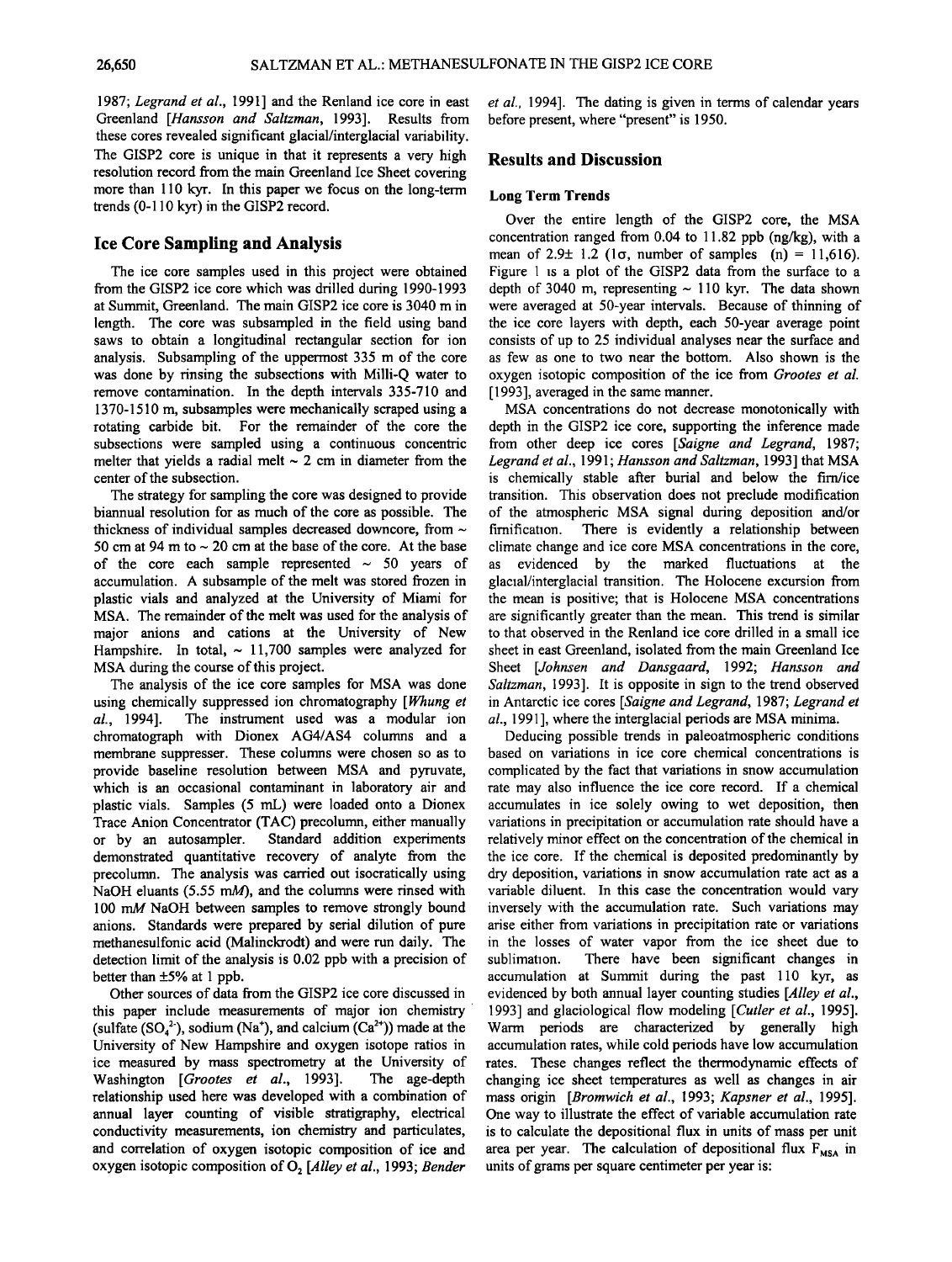**1987; Legrand et al., 1991] and the Renland ice core in east Greenland [Hansson and \$altzman, 1993]. Results from these cores revealed significant glacial/interglacial variability. The GISP2 core is unique in that it represents avery high resolution record from the main Greenland Ice Sheet covering more than 110 kyr. In this paper we focus on the long-term trends (0-110 kyr) in the GISP2 record.** 

#### **Ice Core Sampling and Analysis**

**The ice core samples used in this project were obtained from the GISP2 ice core which was drilled during 1990-1993 at Summit, Greenland. The main GISP2 ice core is 3040 m in length. The core was subsampled in the field using band saws to obtain a longitudinal rectangular section for ion analysis. Subsampling of the uppermost 335 m of the core was done by rinsing the subsections with Milli-Q water to remove contamination. In the depth intervals 335-710 and 1370-1510 m, subsamples were mechanically scraped using a rotating carbide bit. For the remainder of the core the subsections were sampled using a continuous concentric**  melter that yields a radial melt  $\sim$  2 cm in diameter from the **center of the subsection.** 

**The strategy for sampling the core was designed to provide biannual resolution for as much of the core as possible. The**  thickness of individual samples decreased downcore, from  $\sim$ 50 cm at 94 m to  $\sim$  20 cm at the base of the core. At the base of the core each sample represented  $\sim$  50 years of **accumulation. A subsample of the melt was stored frozen in plastic vials and analyzed at the University of Miami for MSA. The remainder of the melt was used for the analysis of major anions and cations at the University of New**  Hampshire. In total,  $\sim$  11,700 samples were analyzed for **MSA during the course of this project.** 

**The analysis of the ice core samples for MSA was done**  using chemically suppressed ion chromatography [Whung et al., 1994]. The instrument used was a modular ion **al., 1994]. The instrument used was a modular ion chromatograph with Dionex AG4/AS4 columns and a membrane suppresser. These columns were chosen so as to provide baseline resolution between MSA and pyruvate, which is an occasional contaminant in laboratory air and plastic vials. Samples (5 mL) were loaded onto a Dionex Trace Anion Concentrator (TAC) precolumn, either manually Standard addition experiments demonstrated quantitative recovery of analyte from the**  precolumn. The analysis was carried out isocratically using **NaOH eluants (5.55 mM), and the columns were rinsed with 100 mM NaOH between samples to remove strongly bound anions. Standards were prepared by serial dilution of pure methanesulfonic acid (Malinckrodt) and were run daily. The detection limit of the analysis is 0.02 ppb with a precision of better than +5% at 1 ppb.** 

**Other sources of data from the GISP2 ice core discussed in this paper include measurements of major ion chemistry**  (sulfate  $(SO_4^2)$ , sodium (Na<sup>+</sup>), and calcium  $(Ca^{2+})$ ) made at the **University of New Hampshire and oxygen isotope ratios in**  ice measured by mass spectrometry at the University of Washington *[Grootes et al., 1993]*. The age-depth Washington [Grootes et al., 1993]. **relationship used here was developed with a combination of annual layer counting of visible stratigraphy, electrical conductivity measurements, ion chemistry and particulates, and correlation of oxygen isotopic composition of ice and**  oxygen isotopic composition of O<sub>2</sub> [Alley et al., 1993; Bender

**et al., 1994]. The dating is given in terms of calendar years before present, where "present" is 1950.** 

#### **Results and Discussion**

#### **Long Term Trends**

**Over the entire length of the GISP2 core, the MSA concentration ranged from 0.04 to 11.82 ppb (ng/kg), with a mean of 2.9+ 1.2 (lo, number of samples (n) = 11,616). Figure 1 is a plot of the GISP2 data from the surface to a**  depth of 3040 m, representing  $\sim$  110 kyr. The data shown **were averaged at 50-year intervals. Because of thinning of the ice core layers with depth, each 50-year average point consists of up to 25 individual analyses near the surface and as few as one to two near the bottom. Also shown is the oxygen isotopic composition of the ice from Grootes et al. [1993], averaged in the same manner.** 

**MSA concentrations do not decrease monotonically with depth in the GISP2 ice core, supporting the inference made from other deep ice cores [Saigne and Legrand, 1987;**  Legrand et al., 1991; Hansson and Saltzman, 1993] that MSA **is chemically stable after burial and below the tim/ice transition. This observation does not preclude modification of the atmospheric MSA signal during deposition and/or fimity** a relationship between **climate change and ice core MSA concentrations in the core, as evidenced by the marked fluctuations at the glacial/interglacial transition. The Holocene excursion from the mean is positive; that is Holocene MSA concentrations are significantly greater than the mean. This trend is similar to that observed in the Renland ice core drilled in a small ice sheet in east Greenland, isolated from the main Greenland Ice Sheet [Johnsen and Dansgaard, 1992; Hansson and Saltzman, 1993]. It is opposite in sign to the trend observed in Antarctic ice cores [\$aigne and Legrand, 1987; Legrand et al., 1991 ], where the interglacial periods are MSA minima.** 

**Deducing possible trends in paleoatmospheric conditions based on variations in ice core chemical concentrations is complicated by the fact that variations in snow accumulation rate may also influence the ice core record. If a chemical accumulates in ice solely owing to wet deposition, then variations in precipitation or accumulation rate should have a relatively minor effect on the concentration of the chemical in the ice core. If the chemical is deposited predominantly by dry deposition, variations in snow accumulation rate act as a variable diluent. In this case the concentration would vary inversely with the accumulation rate. Such variations may arise either from variations in precipitation rate or variations in the losses of water vapor from the ice sheet due to**  There have been significant changes in **accumulation at Summit during the past 110 kyr, as evidenced by both annual layer counting studies [Alley et al., 1993] and glaciological flow modeling [Cutler et al., 1995]. Warm periods are characterized by generally high accumulation rates, while cold periods have low accumulation rates. These changes reflect the thermodynamic effects of changing ice sheet temperatures as well as changes in air mass origin [Bromwich et al., 1993; Kapsner et al., 1995]. One way to illustrate the effect of variable accumulation rate is to calculate the depositional flux in units of mass per unit**  area per year. The calculation of depositional flux  $F_{MSA}$  in **units of grams per square centimeter per year is:**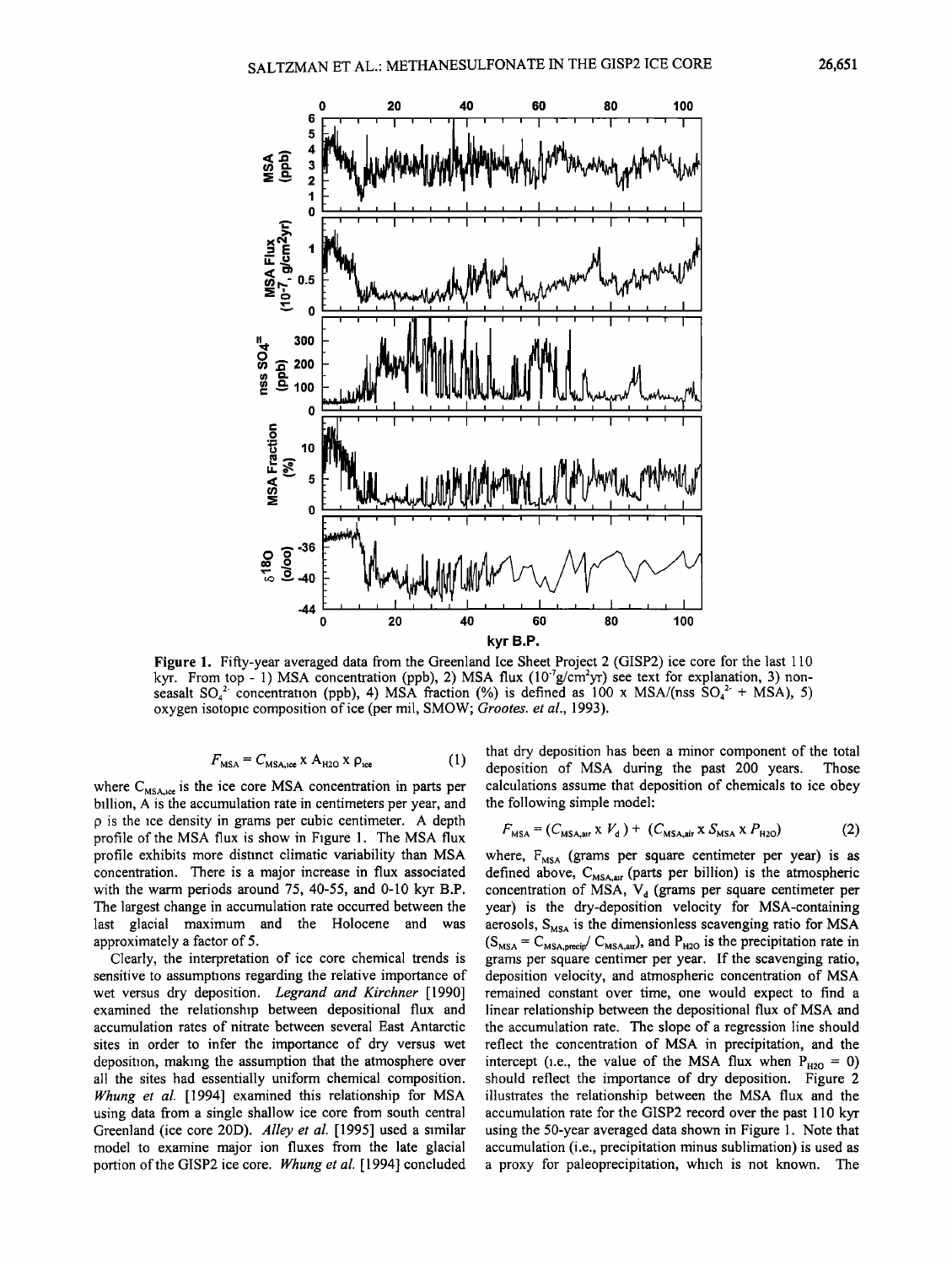

**Figure 1. Fifty-year averaged data from the Greenland Ice Sheet Project 2 (GISP2) ice core for the last 110**  kyr. From top - 1) MSA concentration (ppb), 2) MSA flux (10<sup>-7</sup>g/cm<sup>2</sup>yr) see text for explanation, 3) nonseasalt  $SO_4^2$  concentration (ppb), 4) MSA fraction (%) is defined as 100 x MSA/(nss  $SO_4^2$  + MSA), 5) **oxygen isotopic composition of ice (per mil, SMOW; Grootes. et al., 1993).** 

$$
F_{\text{MSA}} = C_{\text{MSA,ice}} \times A_{\text{H2O}} \times \rho_{\text{ice}}
$$
 (1)

where C<sub>MSA,ice</sub> is the ice core MSA concentration in parts per **billion, A is the accumulation rate in centimeters per year, and p is the ice density in grams per cubic centimeter. A depth profile of the MSA flux is show in Figure 1. The MSA flux profile exhibits more distinct climatic variability than MSA concentration. There is a major increase in flux associated with the warm periods around 75, 40-55, and 0-10 kyr B.P. The largest change in accumulation rate occurred between the last glacial maximum and the Holocene and was approximately afactor of 5.** 

**Clearly, the interpretation of ice core chemical trends is sensitive to assumptions regarding the relative importance of wet versus dry deposition. Legrand and Kirchner [1990] examined the relationship between depositional flux and accumulation rates of nitrate between several East Antarctic sites in order to infer the importance of dry versus wet deposition, making the assumption that the atmosphere over all the sites had essentially uniform chemical composition.**  *Whung et al.* [1994] examined this relationship for MSA **using data from a single shallow ice core from south central Greenland (ice core 20D). Alley et al. [1995] used a similar model to examine major ion fluxes from the late glacial**  portion of the GISP2 ice core. Whung et al. [1994] concluded **that dry deposition has been a minor component of the total**  deposition of MSA during the past 200 years. **calculations assume that deposition of chemicals to ice obey the following simple model:** 

$$
F_{\text{MSA}} = (C_{\text{MSA,air}} \times V_{\text{d}}) + (C_{\text{MSA,air}} \times S_{\text{MSA}} \times P_{\text{H2O}})
$$
(2)

where, F<sub>MSA</sub> (grams per square centimeter per year) is as defined above, C<sub>MSA,air</sub> (parts per billion) is the atmospheric concentration of MSA, V<sub>d</sub> (grams per square centimeter per **year) is the dry-deposition velocity for MSA-containing**  aerosols, S<sub>MSA</sub> is the dimensionless scavenging ratio for MSA  $(S_{MSA} = C_{MSA, \text{precip}} / C_{MSA, \text{air}})$ , and  $P_{H2O}$  is the precipitation rate in **grams per square centimer per year. If the scavenging ratio, deposition velocity, and atmospheric concentration of MSA remained constant over time, one would expect to find a linear relationship between the depositional flux of MSA and the accumulation rate. The slope of a regression line should reflect the concentration of MSA in precipitation, and the**  intercept (i.e., the value of the MSA flux when  $P_{H2O} = 0$ ) **should reflect the importance of dry deposition. Figure 2 illustrates the relationship between the MSA flux and the accumulation rate for the GISP2 record over the past 110 kyr using the 50-year averaged data shown in Figure 1. Note that accumulation (i.e., precipitation minus sublimation) is used as a proxy for paleoprecipitation, which is not known. The**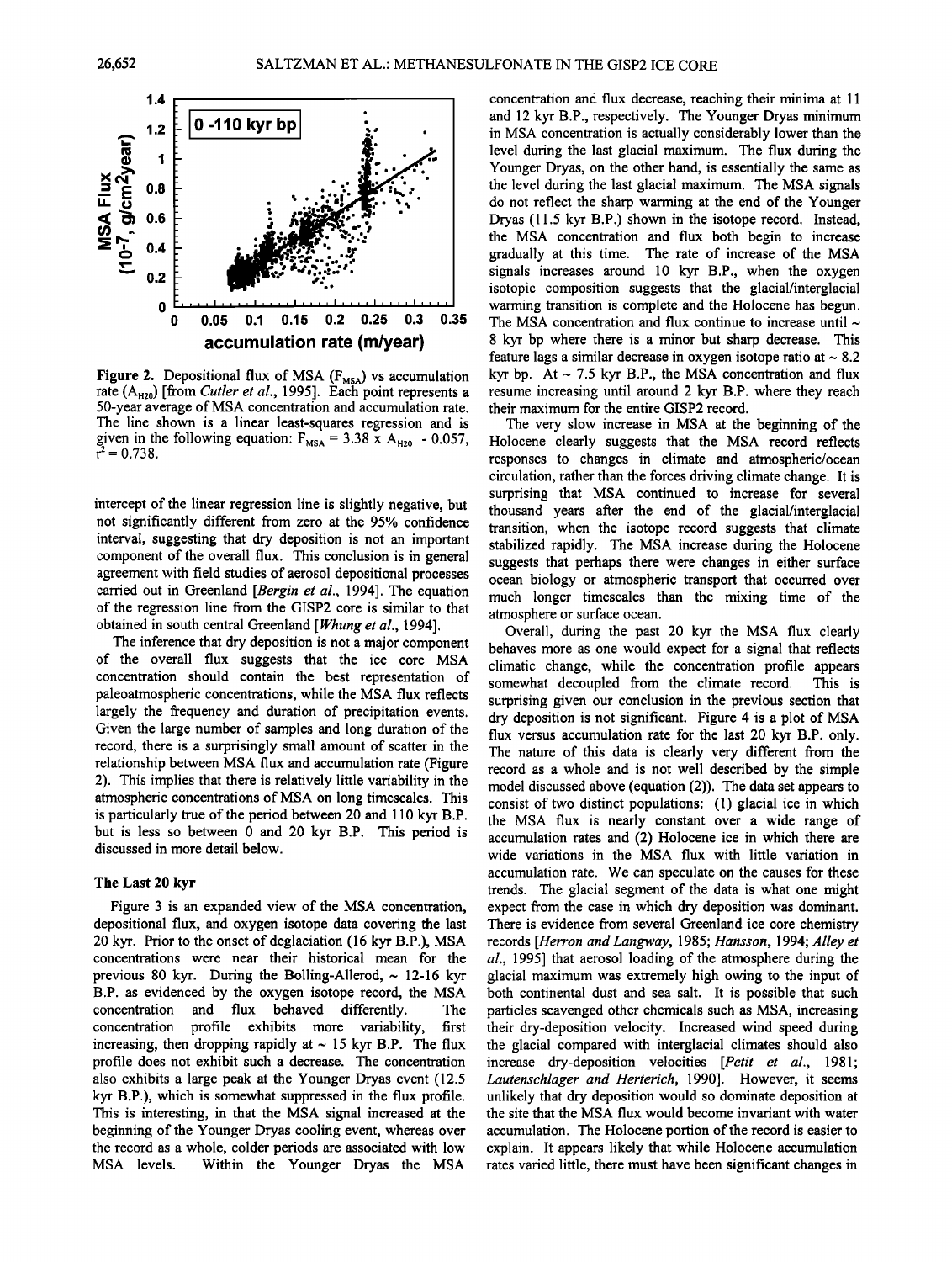

Figure 2. Depositional flux of MSA (F<sub>MSA</sub>) vs accumulation rate (A<sub>H20</sub>) [from *Cutler et al.*, 1995]. Each point represents a **50-year average of MSA concentration and accumulation rate. The line shown is a linear least-squares regression and is**  given in the following equation:  $F_{MSA} = 3.38 \times A_{H20} - 0.057$ ,  $r^2 = 0.738$ .

**intercept of the linear regression line is slightly negative, but not significantly different from zero at the 95% confidence interval, suggesting that dry deposition is not an important component of the overall flux. This conclusion is in general agreement with field studies of aerosol depositional processes**  carried out in Greenland [Bergin et al., 1994]. The equation **of the regression line from the GISP2 core is similar to that obtained in south central Greenland [Whung et al., 1994].** 

**The inference that dry deposition is not a major component of the overall flux suggests that the ice core MSA concentration should contain the best representation of**  paleoatmospheric concentrations, while the MSA flux reflects **largely the frequency and duration of precipitation events. Given the large number of samples and long duration of the record, there is a surprisingly small amount of scatter in the relationship between MSA flux and accumulation rate (Figure 2). This implies that there is relatively little variability in the atmospheric concentrations of MSA on long timescales. This is particularly true of the period between 20 and 110 kyr B.P. but is less so between 0 and 20 kyr B.P. This period is discussed in more detail below.** 

#### **The Last 20 kyr**

**Figure 3 is an expanded view of the MSA concentration, depositional flux, and oxygen isotope data covering the last 20 kyr. Prior to the onset of deglaciation (16 kyr B.P.), MSA concentrations were near their historical mean for the previous 80 kyr. During the Bolling-Allerod, ~ 12-16 kyr B.P. as evidenced by the oxygen isotope record, the MSA concentration and flux behaved differently. The**  profile exhibits more variability, increasing, then dropping rapidly at  $\sim$  15 kyr B.P. The flux **profile does not exhibit such a decrease. The concentration also exhibits a large peak at the Younger Dryas event (12.5 kyr B.P.), which is somewhat suppressed in the flux profile. This is interesting, in that the MSA signal increased at the beginning of the Younger Dryas cooling event, whereas over the record as a whole, colder periods are associated with low**  Within the Younger Dryas the MSA

**concentration and flux decrease, reaching their minima at 11 and 12 kyr B.P., respectively. The Younger Dryas minimum in MSA concentration is actually considerably lower than the level during the last glacial maximum. The flux during the Younger Dryas, on the other hand, is essentially the same as the level during the last glacial maximum. The MSA signals do not reflect the sharp warming at the end of the Younger Dryas (11.5 kyr B.P.) shown in the isotope record. Instead, the MSA concentration and flux both begin to increase gradually at this time. The rate of increase of the MSA signals increases around 10 kyr B.P., when the oxygen isotopic composition suggests that the glacial/interglacial warming transition is complete and the Holocene has begun. The MSA concentration and flux continue to increase until ~ 8 kyr bp where there is a minor but sharp decrease. This feature lags a similar decrease in oxygen isotope ratio at ~ 8.2 kyr bp. At ~ 7.5 kyr B.P., the MSA concentration and flux resume increasing until around 2 kyr B.P. where they reach their maximum for the entire GISP2 record.** 

**The very slow increase in MSA at the beginning of the Holocene clearly suggests that the MSA record reflects responses to changes in climate and atmospheric/ocean circulation, rather than the forces driving climate change. It is surprising that MSA continued to increase for several thousand years after the end of the glacial/interglacial transition, when the isotope record suggests that climate stabilized rapidly. The MSA increase during the Holocene suggests that perhaps there were changes in either surface ocean biology or atmospheric transport that occurred over much longer timescales than the mixing time of the atmosphere or surface ocean.** 

**Overall, during the past 20 kyr the MSA flux clearly behaves more as one would expect for a signal that reflects climatic change, while the concentration profile appears**  somewhat decoupled from the climate record. **surprising given our conclusion in the previous section that dry deposition is not significant. Figure 4 is a plot of MSA flux versus accumulation rate for the last 20 kyr B.P. only. The nature of this data is clearly very different from the record as a whole and is not well described by the simple model discussed above (equation (2)). The data set appears to consist of two distinct populations: (1) glacial ice in which the MSA flux is nearly constant over a wide range of accumulation rates and (2) Holocene ice in which there are wide variations in the MSA flux with little variation in accumulation rate. We can speculate on the causes for these trends. The glacial segment of the data is what one might expect from the case in which dry deposition was dominant. There is evidence from several Greenland ice core chemistry records [Herron and Langway, 1985; Hansson, 1994; Alley et al., 1995] that aerosol loading of the atmosphere during the glacial maximum was extremely high owing to the input of both continental dust and sea salt. It is possible that such particles scavenged other chemicals such as MSA, increasing their dry-deposition velocity. Increased wind speed during the glacial compared with interglacial climates should also increase dry-deposition velocities [Petit et al., 1981; Lautenschlager and Hefterich, 1990]. However, it seems unlikely that dry deposition would so dominate deposition at the site that the MSA flux would become invariant with water accumulation. The Holocene portion of the record is easier to explain. It appears likely that while Holocene accumulation rates varied little, there must have been significant changes in**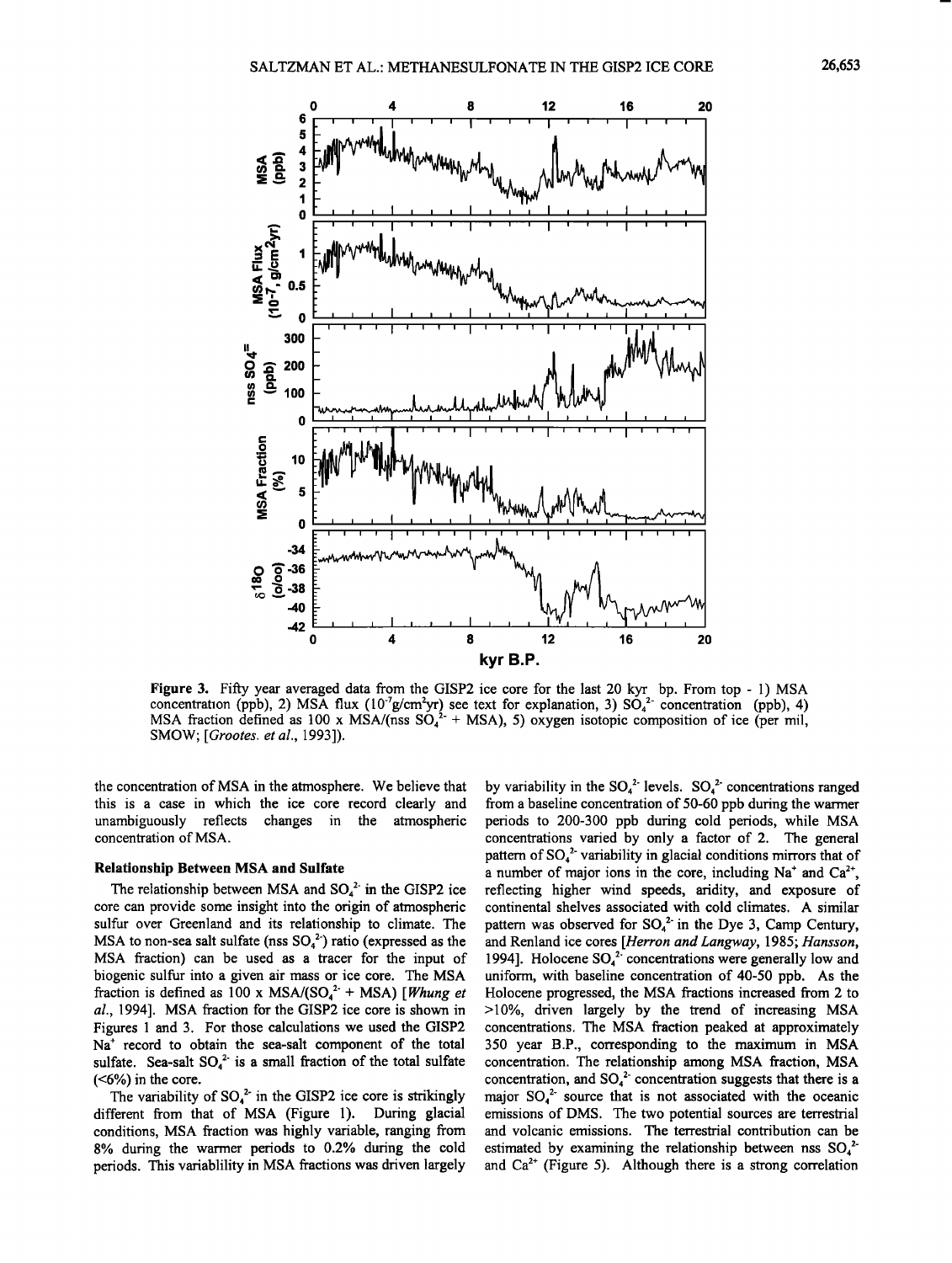

**Figure 3. Fifty year averaged data from the GISP2 ice core for the last 20 kyr bp. From top - 1) MSA**  concentration (ppb), 2) MSA flux  $(10^{7}$ g/cm<sup>2</sup>yr) see text for explanation, 3) SO<sub>4</sub><sup>2</sup> concentration (ppb), 4) MSA fraction defined as  $100 \times MSA/(nss \cdot 50^{2} + MSA)$ , 5) oxygen isotopic composition of ice (per mil, **SMOW; [Grootes. et al., 1993]).** 

**the concentration of MSA in the atmosphere. We believe that this is a case in which the ice core record clearly and**  unambiguously reflects changes in the **concentration of MSA.** 

#### **Relationship Between MSA and Sulfate**

The relationship between MSA and SO<sub>4</sub><sup>2</sup> in the GISP2 ice **core can provide some insight into the origin of atmospheric sulfur over Greenland and its relationship to climate. The**  MSA to non-sea salt sulfate (nss  $SO_4^2$ ) ratio (expressed as the **MSA fraction) can be used as a tracer for the input of biogenic sulfur into a given air mass or ice core. The MSA**  fraction is defined as 100 x MSA/( $SO_4^{2+}$  + MSA) [*Whung et* **al., 1994]. MSA fraction for the GISP2 ice core is shown in Figures 1 and 3. For those calculations we used the GISP2**  Na<sup>+</sup> record to obtain the sea-salt component of the total sulfate. Sea-salt SO<sub>4</sub><sup>2</sup> is a small fraction of the total sulfate **(<6%) in the core.** 

The variability of  $SO_4^2$  in the GISP2 ice core is strikingly **different from that of MSA (Figure 1). During glacial conditions, MSA fraction was highly variable, ranging from 8% during the warmer periods to 0.2% during the cold periods. This variablility in MSA fractions was driven largely** 

by variability in the  $SO_4^2$  levels.  $SO_4^2$  concentrations ranged **from a baseline concentration of 50-60 ppb during the warmer periods to 200-300 ppb during cold periods, while MSA concentrations varied by only a factor of 2. The general**  pattern of  $SO_4^2$  variability in glacial conditions mirrors that of a number of major ions in the core, including  $Na<sup>+</sup>$  and  $Ca<sup>2+</sup>$ . **reflecting higher wind speeds, aridity, and exposure of continental shelves associated with cold climates. A similar**  pattern was observed for  $SO_4^2$  in the Dye 3, Camp Century, **and Renland ice cores [Herron and Langway, 1985; Hansson,**  1994]. Holocene SO<sub>4</sub><sup>2</sup> concentrations were generally low and **uniform, with baseline concentration of 40-50 ppb. As the Holocene progressed, the MSA fractions increased from 2 to >10%, driven largely by the trend of increasing MSA concentrations. The MSA fraction peaked at approximately 350 year B.P., corresponding to the maximum in MSA concentration. The relationship among MSA fraction, MSA**  concentration, and SO<sub>4</sub><sup>2</sup> concentration suggests that there is a major SO<sub>4</sub><sup>2</sup> source that is not associated with the oceanic **emissions of DMS. The two potential sources are terrestrial and volcanic emissions. The terrestrial contribution can be**  estimated by examining the relationship between nss SO<sub>4</sub><sup>2</sup>and Ca<sup>2+</sup> (Figure 5). Although there is a strong correlation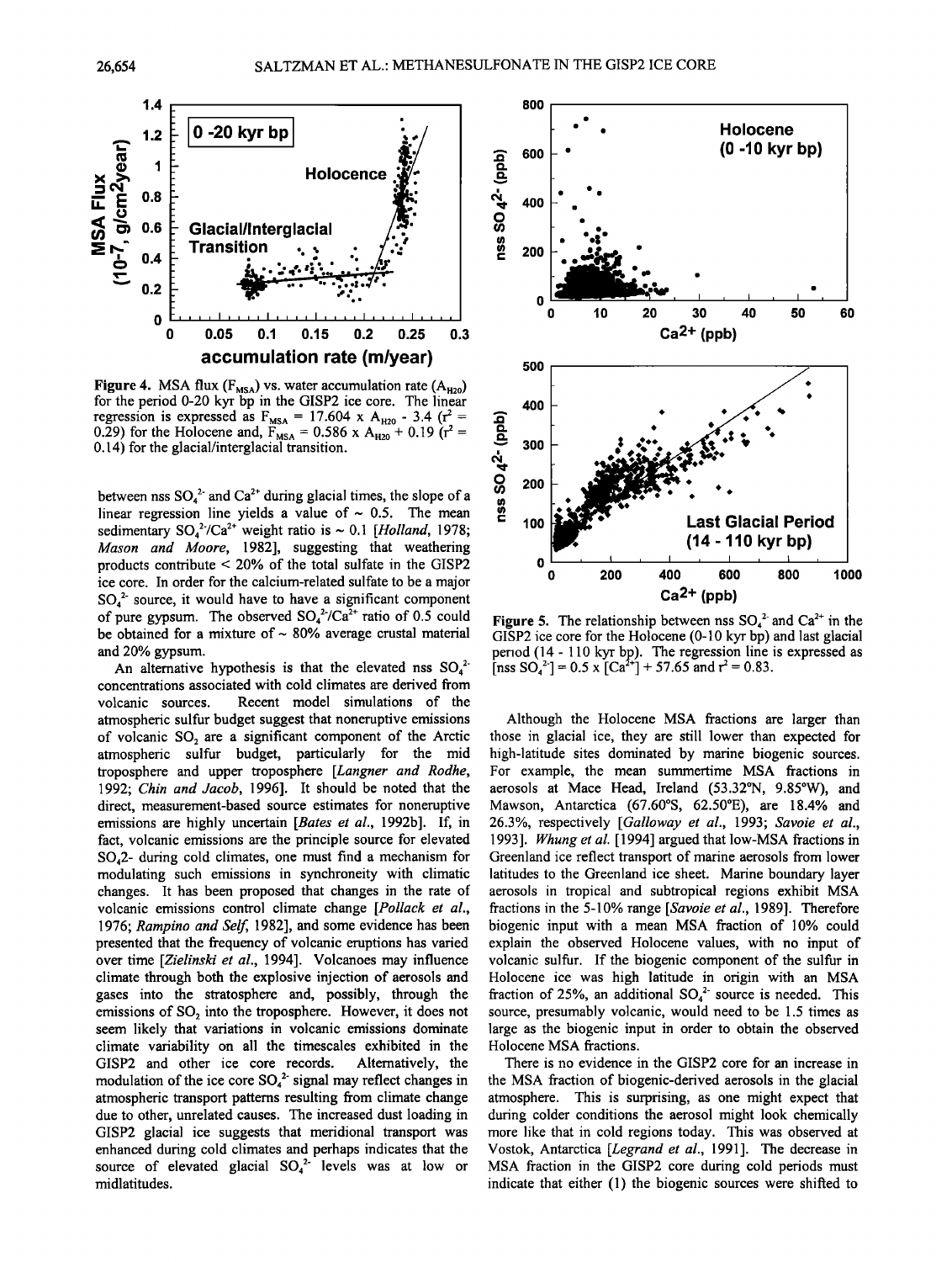

**Figure 4.** MSA flux  $(F_{MSA})$  vs. water accumulation rate  $(A_{H20})$ **for the period 0-20 kyr bp in the GISP2 ice core. The linear regression is expressed as**  $F_{MSA} = 17.604 \times A_{H20} - 3.4 \text{ (r}^2 =$ 0.29) for the Holocene and,  $F_{MSA} = 0.586 \times A_{H20} + 0.19$  (r<sup>2</sup> = **0.14) for the glacial/interglacial transition.** 

between nss  $SO_4^2$  and  $Ca^{2+}$  during glacial times, the slope of a linear regression line yields a value of  $\sim 0.5$ . The mean sedimentary  $SO_4^2/Ca^{2+}$  weight ratio is  $\sim 0.1$  [Holland, 1978; **Mason and Moore, 1982], suggesting that weathering products contribute < 20% of the total sulfate in the GISP2 ice core. In order for the calcium-related sulfate to be a major SO42- source, it would have to have a significant component**  of pure gypsum. The observed  $SO_4^2/Ca^{2+}$  ratio of 0.5 could be obtained for a mixture of ~ 80% average crustal material **and 20% gypsum.** 

An alternative hypothesis is that the elevated nss  $SO_4^2$ **concentrations associated with cold climates are derived from volcanic sources. Recent model simulations of the**  atmospheric sulfur budget suggest that noneruptive emissions of volcanic SO<sub>2</sub> are a significant component of the Arctic **atmospheric sulfur budget, particularly for the mid troposphere and upper troposphere [Langner and Rodhe, 1992; Chin and Jacob, 1996]. It should be noted that the direct, measurement-based source estimates for noneruptive emissions are highly uncertain [Bates et al., 1992b]. If, in fact, volcanic emissions are the principle source for elevated SO42- during cold climates, one must find a mechanism for modulating such emissions in synchroneity with climatic changes. It has been proposed that changes in the rate of volcanic emissions control climate change [Pollack et al., 1976; Rampino and Self, 1982], and some evidence has been presented that the frequency of volcanic eruptions has varied over time [Zielinski et al., 1994]. Volcanoes may influence climate through both the explosive injection of aerosols and gases into the stratosphere and, possibly, through the**  emissions of SO<sub>2</sub> into the troposphere. However, it does not **seem likely that variations in volcanic emissions dominate climate variability on all the timescales exhibited in the**  GISP2 and other ice core records. modulation of the ice core SO<sub>4</sub><sup>2</sup> signal may reflect changes in **atmospheric transport patterns resulting from climate change due to other, unrelated causes. The increased dust loading in GISP2 glacial ice suggests that meridional transport was enhanced during cold climates and perhaps indicates that the**  source of elevated glacial  $SO_4^2$  levels was at low or **midlatitudes.** 



**Figure 5.** The relationship between nss  $SO_4^2$  and  $Ca^{2+}$  in the **GISP2 ice core for the Holocene (0-10 kyr bp) and last glacial period (14 - 110 kyr bp). The regression line is expressed as**  [nss  $SO_4^2$ ] = 0.5 x  $[Ca^{2+}]$  + 57.65 and  $r^2$  = 0.83.

**Although the Holocene MSA fractions are larger than those in glacial ice, they are still lower than expected for high-latitude sites dominated by marine biogenic sources. For example, the mean summertime MSA fractions in aerosols at Mace Head, Ireland (53.32øN, 9.85øW), and**  Mawson, Antarctica (67.60°S, 62.50°E), are 18.4% and **26.3%, respectively [Galloway et al., 1993; Savoie et al., 1993]. Whung et al. [1994] argued that low-MSA fractions in Greenland ice reflect transport of marine aerosols from lower latitudes to the Greenland ice sheet. Marine boundary layer aerosols in tropical and subtropical regions exhibit MSA fractions in the 5-10% range [Savoie et al., 1989]. Therefore biogenic input with a mean MSA fraction of 10% could explain the observed Holocene values, with no input of volcanic sulfur. If the biogenic component of the sulfur in Holocene ice was high latitude in origin with an MSA**  fraction of 25%, an additional SO<sub>4</sub><sup>2</sup> source is needed. This **source, presumably volcanic, would need to be 1.5 times as large as the biogenic input in order to obtain the observed Holocene MSA fractions.** 

**There is no evidence in the GISP2 core for an increase in the MSA fraction of biogenic-derived aerosols in the glacial atmosphere. This is surprising, as one might expect that during colder conditions the aerosol might look chemically more like that in cold regions today. This was observed at Vostok, Antarctica [Legrand et al., 1991]. The decrease in MSA fraction in the GISP2 core during cold periods must indicate that either (1) the biogenic sources were shifted to**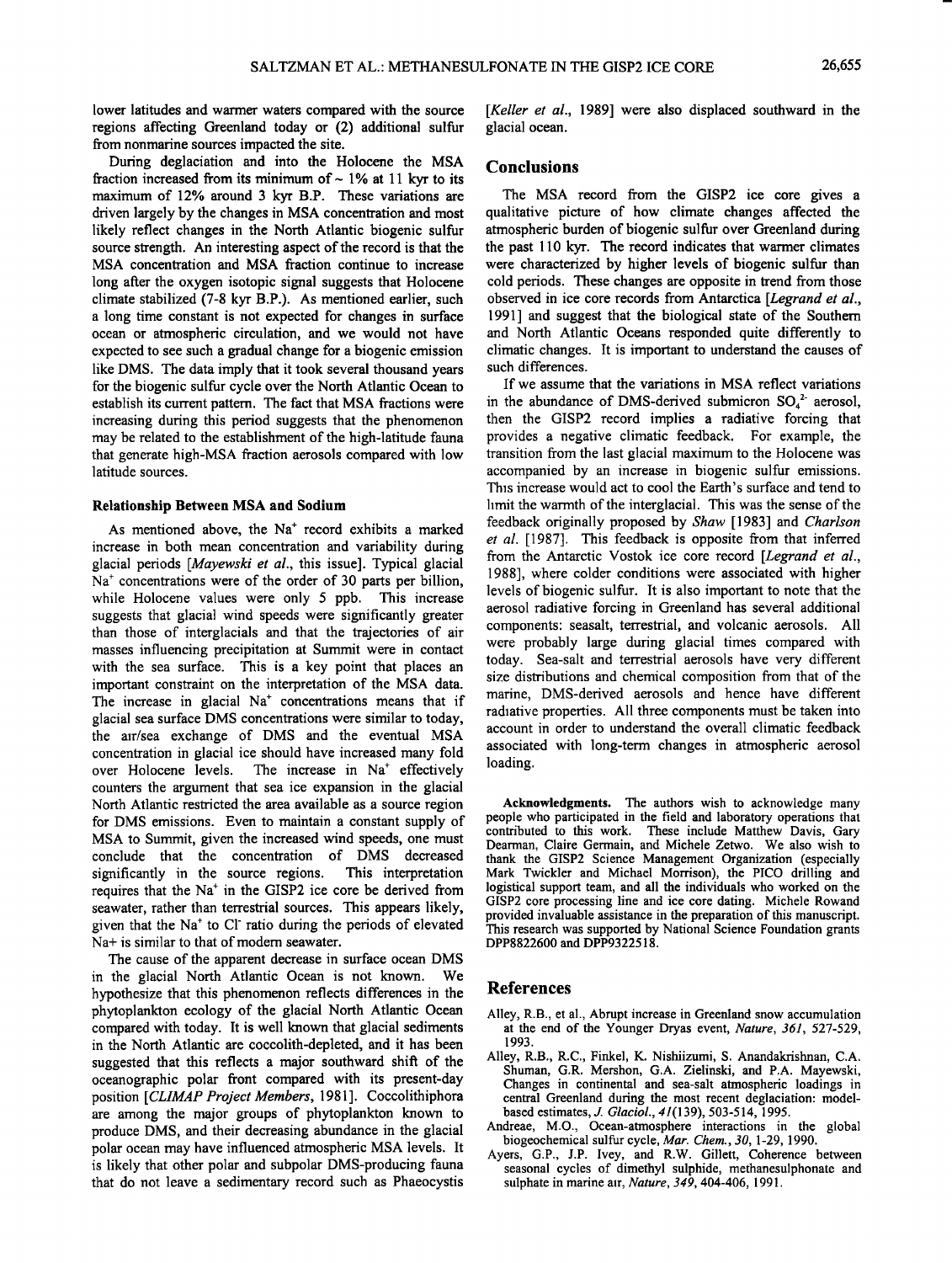**lower latitudes and warmer waters compared with the source regions affecting Greenland today or (2) additional sulfur from nonmarine sources impacted the site.** 

**During deglaciation and into the Holocene the MSA**  fraction increased from its minimum of ~ 1% at 11 kyr to its **maximum of 12% around 3 kyr B.P. These variations are driven largely by the changes in MSA concentration and most likely reflect changes in the North Atlantic biogenic sulfur source strength. An interesting aspect of the record is that the MSA concentration and MSA fraction continue to increase long after the oxygen isotopic signal suggests that Holocene climate stabilized (7-8 kyr B.P.). As mentioned earlier, such a long time constant is not expected for changes in surface ocean or atmospheric circulation, and we would not have expected to see such a gradual change for a biogenic emission like DMS. The data imply that it took several thousand years for the biogenic sulfur cycle over the North Atlantic Ocean to establish its current pattern. The fact that MSA fractions were increasing during this period suggests that the phenomenon may be related to the establishment of the high-latitude fauna that generate high-MSA fraction aerosols compared with low latitude sources.** 

#### **Relationship Between MSA and Sodium**

As mentioned above, the Na<sup>+</sup> record exhibits a marked **increase in both mcan concentration and variability during glacial periods [Mayewski et al., this issue]. Typical glacial**  Na<sup>+</sup> concentrations were of the order of 30 parts per billion, **while Holocene values were only 5 ppb. This increase suggests that glacial wind speeds wcrc significantly greater than those of intcrglacials and that the trajectories of air masses influencing precipitation at Summit wcrc in contact with the sea surface. This is a key point that places an important constraint on the interpretation of the MSA data.**  The increase in glacial Na<sup>+</sup> concentrations means that if **glacial sea surface DMS concentrations wcrc similar to today, the air/sea exchange of DMS and the eventual MSA concentration in glacial ice should have increased many fold**  The increase in Na<sup>+</sup> effectively **counters the argument that sea ice expansion in the glacial North Atlantic restricted the area available as a source region for DMS emissions. Even to maintain a constant supply of MSA to Summit, given the increased wind speeds, one must conclude that the concentration of DMS decreased significantly in the source regions. This interpretation**  requires that the Na<sup>+</sup> in the GISP2 ice core be derived from **seawater, rather than terrestrial sources. This appears likely,**  given that the Na<sup>+</sup> to CI<sup>-</sup> ratio during the periods of elevated **Na+ is similar to that of modem seawater.** 

**The cause of the apparent decrease in surface ocean DMS**  in the glacial North Atlantic Ocean is not known. **hypothesize that this phenomenon reflects differences in the phytoplankton ecology of the glacial North Atlantic Ocean compared with today. It is well known that glacial sediments in the North Atlantic are coccolith-depleted, and it has been suggested that this reflects a major southward shift of the oceanographic polar front compared with its present-day position [CLIMAP Project Members, 1981 ]. Coccolithiphora are among the major groups of phytoplankton known to produce DMS, and their decreasing abundance in the glacial polar ocean may have influenced atmospheric MSA levels. It is likely that other polar and subpolar DMS-producing fauna that do not leave a sedimentary record such as Phaeocystis** 

**[Keller et al., 1989] were also displaced southward in the glacial ocean.** 

#### **Conclusions**

**The MSA record from the GISP2 ice core gives a qualitative picture of how climate changes affected the atmospheric burden of biogenic sulfur over Greenland during the past 110 kyr. The record indicates that warmer climates were characterized by higher levels of biogenic sulfur than cold periods. These changes are opposite in trend from those observed in ice core records from Antarctica [Legrand et al., 1991] and suggest that the biological state of the Southern and North Atlantic Oceans responded quite differently to climatic changes. It is important to understand the causes of such differences.** 

**If we assume that the variations in MSA reflect variations**  in the abundance of DMS-derived submicron SO<sub>4</sub><sup>2</sup> aerosol, **then the GISP2 record implies a radiative forcing that provides a negative climatic feedback. For example, the transition from the last glacial maximum to the Holocene was accompanied by an increase in biogenic sulfur emissions. This increase would act to cool the Earth's surface and tend to limit the warmth of the interglacial. This was the sense of the feedback originally proposed by Shaw [1983] and Charlson et al. [1987]. This feedback is opposite from that inferred from the Antarctic Vostok ice core record [Legrand et al., 1988], where colder conditions were associated with higher levels of biogenic sulfur. It is also important to note that the aerosol radiative forcing in Greenland has several additional components: seasalt, terrestrial, and volcanic aerosols. All were probably large during glacial times compared with today. Sea-salt and terrestrial aerosols have very different size distributions and chemical composition from that of the marine, DMS-derived aerosols and hence have different radiative properties. All three components must be taken into account in order to understand the overall climatic feedback associated with long-term changes in atmospheric aerosol loading.** 

**Acknowledgments. The authors wish to acknowledge many people who participated in the field and laboratory operations that contributed to this work. These include Matthew Davis, Gary Dearman, Claire Germain, and Michele Zetwo. We also wish to thank the GISP2 Science Management Organization (especially Mark Twickler and Michael Morrison), the PICO drilling and logistical support team, and all the individuals who worked on the GISP2 core processing line and ice core dating. Michele Rowand provided invaluable assistance in the preparation of this manuscript. This research was supported by National Science Foundation grants DPP8822600 and DPP9322518.** 

#### **References**

- **Alley, R.B., et al., Abrupt increase in Greenland snow accumulation at the end of the Younger Dryas event, Nature, 361, 527-529, 1993.**
- **Alley, R.B., R.C., Finkel, K. Nishiizumi, S. Anandakrishnan, C.A. Shuman, G.R. Mershon, G.A. Zielinski, and P.A. Mayewski, Changes in continental and sea-salt atmospheric loadings in central Greenland during the most recent deglaciation: modelbased estimates, J. Glaciol., 41(139), 503-514, 1995.**
- **Andreae, M.O., Ocean-atmosphere interactions in the global biogeochemical sulfur cycle, Mar. Chem., 30, 1-29, 1990.**
- **Ayers, G.P., J.P. Ivey, and R.W. Gillett, Coherence between seasonal cycles of dimethyl sulphide, methanesulphonate and sulphate in marine air, Nature, 349, 404-406, 1991.**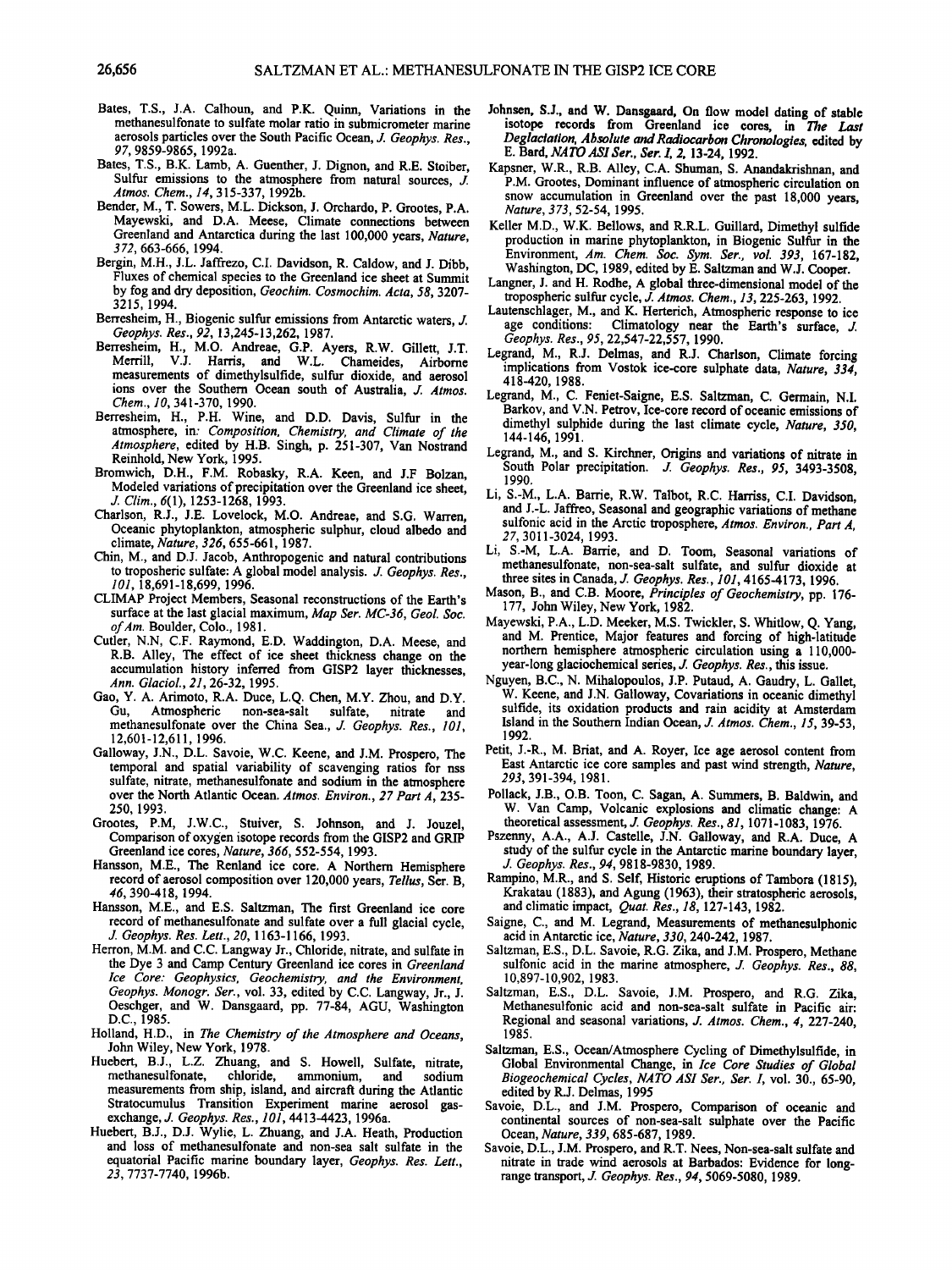- **Bates, T.S., J.A. Calhoun, and P.K. Quinn, Variations in the methanesulfonate to sulfate molar ratio in submicrometer marine aerosols particles over the South Pacific Ocean, J. Geophys. Res., 97, 9859-9865, 1992a.**
- **Bates, T.S., B.K. Lamb, A. Guenther, J. Dignon, and R.E. Stoiber,**  Sulfur emissions to the atmosphere from natural sources, *J.* **Atmos. Chem., 14, 315-337, 1992b.**
- **Bender, M., T. Sowers, M.L. Dickson, J. Orchardo, P. Grootes, P.A. Mayewski, and D.A. Meese, Climate connections between Greenland and Antarctica during the last 100,000 years, Nature, 3 72, 663-666, 1994.**
- **Bergin, M.H., J.L. Jaffrezo, C.I. Davidson, R. Caldow, and J. Dibb, Fluxes of chemical species to the Greenland ice sheet at Summit by fog and dry deposition, Geochim. Cosmochim. Acta, 58, 3207- 3215, 1994.**
- **Berresheim, H., Biogenic sulfur emissions from Antarctic waters, J. Geophys. Res., 92, 13,245-13,262, 1987.**
- **Berresheim, H., M.O. Andreae, G.P. Ayers, R.W. Gillett, J.T. Merrill, V.J. Harris, and W.L. Chameides, Airborne measurements of dimethylsulfide, sulfur dioxide, and aerosol ions over the Southern Ocean south of Australia, J. Atmos. Chem., 1 O, 341-370, 1990.**
- **Berresheim, H., P.H. Wine, and D.D. Davis, Sulfur in the atmosphere, in: Composition, Chemistry, and Climate of the Atmosphere, edited by H.B. Singh, p. 251-307, Van Nostrand Reinhold, New York, 1995.**
- **Bromwich, D.H., F.M. Robasky, R.A. Keen, and J.F Bolzan, Modeled variations of precipitation over the Greenland ice sheet, if. Clim., 6(1), 1253-1268, 1993.**
- **Chaffson, R.J., J.E. Lovelock, M.O. Andteac, and S.G. Warren, Oceanic phytoplankton, atmospheric sulphur, cloud albedo and climate, Nature, 326, 655-661, 1987.**
- **Chin, M., and D.J. Jacob, Anthropogenic and natural contributions**  to troposheric sulfate: A global model analysis. *J. Geophys. Res.*, **101, 18,691-18,699, 1996.**
- **CLIMAP Project Members, Seasonal reconstructions of the Earth's**  surface at the last glacial maximum, Map Ser. MC-36, Geol. Soc. **of Am. Boulder, Colo., 1981.**
- **Cutler, N.N, C.F. Raymond, E.D. Waddington, D.A. Meese, and R.B. Alley, The effect of ice sheet thickness change on the accumulation history inferred from GISP2 layer thicknesses, Ann. Glaciol., 21, 26-32, 1995.**
- **Gao, Y. A. Arimoto, R.A. Duce, L.Q. Chen, M.Y. Zhou, and D.Y.**  Atmospheric non-sea-salt sulfate, nitrate and methanesulfonate over the China Sea., J. Geophys. Res., 101, **12,601-12,611, 1996.**
- **Galloway, J.N., D.L. Savoie, W.C. Keene, and J.M. Prospero, The temporal and spatial variability of scavenging ratios for nss**  sulfate, nitrate, methanesulfonate and sodium in the atmosphere **over the North Atlantic Ocean. Atmos. Environ., 27 Part A, 235- 250, 1993.**
- **Greetes, P.M, J.W.C., Stuiver, S. Johnson, and J. Jouzel, Comparison of oxygen isotope records from the GISP2 and GRIP Greenland ice cores, Nature, 366, 552-554, 1993.**
- **Hansson, M.E., The Renland ice core. A Northern Hemisphere record of aerosol composition over 120,000 years, Tellus, Set. B, 46, 390-418, 1994.**
- **Hansson, M.E., and E.S. Saltzman, The first Greenland ice core record of methanesulfonate and sulfate over a full glacial cycle, if. Geephys. Res. Lett., 20, 1163-1166, 1993.**
- **Herron, M.M. and C.C. Langway Jr., Chloride, nitrate, and sulfate in the Dye 3 and Camp Century Greenland ice cores in Greenland Ice Core: Geophysics, Geochemistry, and the Environment, Geephys. Monogr. Ser., vol. 33, edited by C.C. Langway, Jr., J. Oeschger, and W. Dansgaard, pp. 77-84, AGU, Washington D.C., 1985.**
- **Holland, H.D., in The Chemistry of the Atmosphere and Oceans, John Wiley, New York, 1978.**
- **Huebert, B.J., L.Z. Zhuang, and S. Howell, Sulfate, nitrate, methanesulfonate, chloride, ammonium, and sodium measurements from ship, island, and aircraft during the Atlantic Stratocumulus Transition Experiment marine aerosol gasexchange, J. Geophys. Res., 101, 4413-4423, 1996a.**
- **Huebert, B.J., D.J. Wylie, L. Zhuang, and J.A. Heath, Production and loss of methanesulfonate and non-sea salt sulfate in the equatorial Pacific marine boundary layer, Geophys. Res. Lett., 23, 7737-7740, 1996b.**
- **Johnsen, S.J., and W. Dansgaard, On flow model dating of stable**  isotope records from Greenland ice cores, in The Last **Deglaciation, Absolute and Radiocarbon Chronologies, edited by E. Bard, NATO ASI \$er., \$er. I, 2, 13-24, 1992.**
- **Kapsner, W.R., R.B. Alley, C.A. Shuman, S. Anandakrishnan, and**  P.M. Grootes, Dominant influence of atmospheric circulation on snow accumulation in Greenland over the past 18,000 years, **Nature, 373, 52-54, 1995.**
- **Keller M.D., W.K. Bellows, and R.R.L. Guillard, Dimethyl sulfide production in marine phytoplankton, in Biogenic Sulfur in the**  Environment, Am. Chem. Soc. Sym. Ser., vol. 393, 167-182, **Washington, DC, 1989, edited by E. Saltzman and W.J. Cooper.**
- **Langner, J. and H. Rodhe, A global three-dimensional model of the tropospheric sulfur cycle, d. Atmos. Chem., 13, 225-263, 1992.**
- Lautenschlager, M., and K. Herterich, Atmospheric response to ice age conditions: Climatology near the Earth's surface, *J. Geophys. Res.*, 95, 22,547-22,557, 1990.
- Legrand, M., R.J. Delmas, and R.J. Charlson, Climate forcing **implications from Vestok ice-core sulphate data, Nature, 334, 418-420, 1988.**
- **Legrand, M., C. Feniet-Saigne, E.S. Saltzman, C. Germain, N.I. Barkov, and V.N. Petrov, Ice-core record of oceanic emissions of dimethyl sulphide during the last climate cycle, Nature, 350, 144-146, 1991.**
- **Legrand, M., and S. Kirchner, Origins and variations of nitrate in**  South Polar precipitation. J. Geophys. Res., 95, 3493-3508, **1990.**
- **Li, S.-M., L.A. Barfie, R.W. Talbot, R.C. Harriss, C.I. Davidson, and J.-L. Jarfree, Seasonal and geographic variations of methane sulfonic acid in the Arctic troposphere, Atmos. Environ., Part A, 27, 3011-3024, 1993.**
- Li, S.-M, L.A. Barrie, and D. Toom, Seasonal variations of **methanesulfonate, non-sea-salt sulfate, and sulfur dioxide at three sites in Canada, d. Geephys. Res., 101, 4165-4173, 1996.**
- **Mason, B., and C.B. Moore, Principles of Geochemistry, pp. 176- 177, John Wiley, New York, 1982.**
- **Mayewski, P.A., L.D. Meeker, M.S. Twickler, S. Whitlow, Q. Yang, and M. Prentice, Major features and forcing of high-latitude**  northern hemisphere atmospheric circulation using a 110,000year-long glaciochemical series, *J. Geophys. Res.*, this issue.
- **Nguyen, B.C., N. Mihalopoulos, J.P. Putaud, A. Gaudry, L. Gallet, W. Keene, and J.N. Galloway, Covariations in oceanic dimethyl sulfide, its oxidation products and rain acidity at Amsterdam Island in the Southern Indian Ocean, d. Atmos. Chem., 15, 39-53, 1992.**
- **Petit, J.-R., M. Briat, and A. Royer, Ice age aerosol content from East Antarctic ice core samples and past wind strength, Nature, 293, 391-394, 1981.**
- Pollack, J.B., O.B. Toon, C. Sagan, A. Summers, B. Baldwin, and W. Van Camp, Volcanic explosions and climatic change: **theoretical assessment, d. Geephys. Res., 81, 1071-1083, 1976.**
- **Pszenny, A.A., A.J. Castelie, J.N. Galloway, and R.A. Duce, A study of the sulfur cycle in the Antarctic marine boundary layer, d. Geephys. Res., 94, 9818-9830, 1989.**
- **Rampine, M.R., and S. Self, Historic eruptions of Tambora (1815), Krakatau (1883), and Agung (1963), their stratospheric aerosols, and climatic impact, Quat. Res., 18, 127-143, 1982.**
- Saigne, C., and M. Legrand, Measurements of methanesulphonic **acid in Antarctic ice, Nature, 330, 240-242, 1987.**
- **Saltzman, E.S., D.L. Savoie, R.G. Zika, and J.M. Prospero, Methane**  sulfonic acid in the marine atmosphere, *J. Geophys. Res.*, 88, **10,897-10,902, 1983.**
- **Saltzman, E.S., D.L. Savoie, J.M. Prospero, and R.G. Zika, Methanesulfonic acid and non-sea-salt sulfate in Pacific air: Regional and seasonal variations, d. Atmos. Chem., 4, 227-240, 1985.**
- **Saltzman, E.S., Ocean/Atmosphere Cycling of Dimethylsulfide, in Global Environmental Change, in Ice Core Studies of Global**  Biogeochemical Cycles, NATO ASI Ser., Ser. I, vol. 30., 65-90, **edited by R.J. Delmas, 1995**
- **Savoie, D.L., and J.M. Prospero, Comparison of oceanic and continental sources of non-sea-salt sulphate over the Pacific Ocean, Nature, 339, 685-687, 1989.**
- **Savoie, D.L., J.M. Prospero, and R.T. Nees, Non-sea-salt sulfate and nitrate in trade wind aerosols at Barbados: Evidence for longrange transport, d. Geephys. Res., 94, 5069-5080, 1989.**